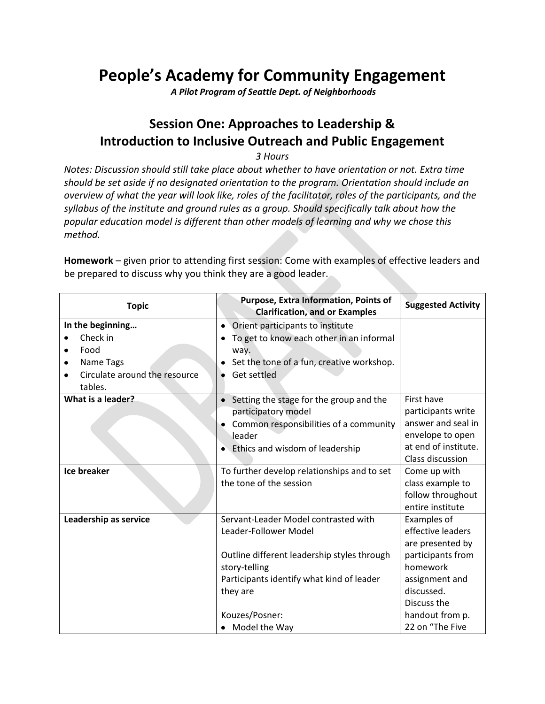# **People's Academy for Community Engagement**

*A Pilot Program of Seattle Dept. of Neighborhoods*

#### **Session One: Approaches to Leadership & Introduction to Inclusive Outreach and Public Engagement**

*3 Hours*

*Notes: Discussion should still take place about whether to have orientation or not. Extra time should be set aside if no designated orientation to the program. Orientation should include an overview of what the year will look like, roles of the facilitator, roles of the participants, and the syllabus of the institute and ground rules as a group. Should specifically talk about how the popular education model is different than other models of learning and why we chose this method.*

**Homework** – given prior to attending first session: Come with examples of effective leaders and be prepared to discuss why you think they are a good leader.

| <b>Topic</b>                                                                                            | <b>Purpose, Extra Information, Points of</b><br><b>Clarification, and or Examples</b>                                                                                                                                     | <b>Suggested Activity</b>                                                                                                                                                  |
|---------------------------------------------------------------------------------------------------------|---------------------------------------------------------------------------------------------------------------------------------------------------------------------------------------------------------------------------|----------------------------------------------------------------------------------------------------------------------------------------------------------------------------|
| In the beginning<br>Check in<br>Food<br>٠<br>Name Tags<br>٠<br>Circulate around the resource<br>tables. | Orient participants to institute<br>$\bullet$<br>To get to know each other in an informal<br>way.<br>Set the tone of a fun, creative workshop.<br>Get settled                                                             |                                                                                                                                                                            |
| What is a leader?<br><b>Ice breaker</b>                                                                 | Setting the stage for the group and the<br>participatory model<br>Common responsibilities of a community<br>leader<br>Ethics and wisdom of leadership                                                                     | First have<br>participants write<br>answer and seal in<br>envelope to open<br>at end of institute.<br>Class discussion                                                     |
|                                                                                                         | To further develop relationships and to set<br>the tone of the session                                                                                                                                                    | Come up with<br>class example to<br>follow throughout<br>entire institute                                                                                                  |
| Leadership as service                                                                                   | Servant-Leader Model contrasted with<br>Leader-Follower Model<br>Outline different leadership styles through<br>story-telling<br>Participants identify what kind of leader<br>they are<br>Kouzes/Posner:<br>Model the Way | Examples of<br>effective leaders<br>are presented by<br>participants from<br>homework<br>assignment and<br>discussed.<br>Discuss the<br>handout from p.<br>22 on "The Five |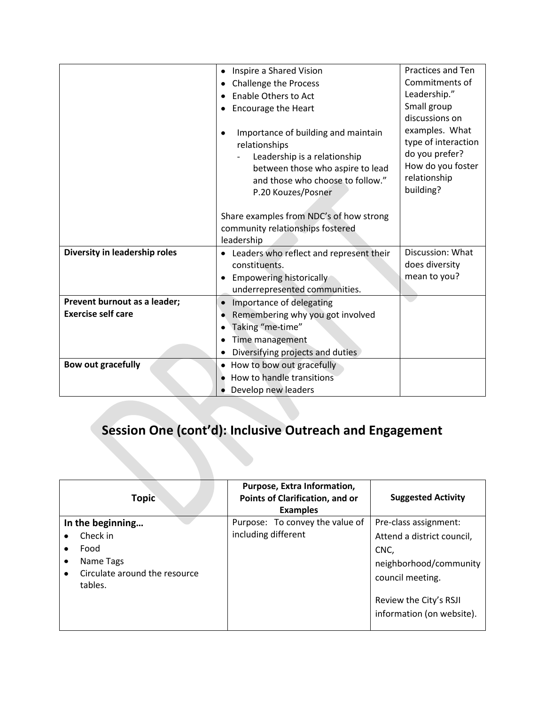|                               | Inspire a Shared Vision                                                                                                                                                            | Practices and Ten                                                                                                           |
|-------------------------------|------------------------------------------------------------------------------------------------------------------------------------------------------------------------------------|-----------------------------------------------------------------------------------------------------------------------------|
|                               | <b>Challenge the Process</b><br>٠                                                                                                                                                  | Commitments of                                                                                                              |
|                               | <b>Enable Others to Act</b>                                                                                                                                                        | Leadership."                                                                                                                |
|                               | <b>Encourage the Heart</b>                                                                                                                                                         | Small group                                                                                                                 |
|                               | Importance of building and maintain<br>relationships<br>Leadership is a relationship<br>between those who aspire to lead<br>and those who choose to follow."<br>P.20 Kouzes/Posner | discussions on<br>examples. What<br>type of interaction<br>do you prefer?<br>How do you foster<br>relationship<br>building? |
|                               | Share examples from NDC's of how strong                                                                                                                                            |                                                                                                                             |
|                               | community relationships fostered                                                                                                                                                   |                                                                                                                             |
|                               | leadership                                                                                                                                                                         |                                                                                                                             |
| Diversity in leadership roles | Leaders who reflect and represent their                                                                                                                                            | Discussion: What                                                                                                            |
|                               | constituents.                                                                                                                                                                      | does diversity                                                                                                              |
|                               | <b>Empowering historically</b>                                                                                                                                                     | mean to you?                                                                                                                |
|                               | underrepresented communities.                                                                                                                                                      |                                                                                                                             |
| Prevent burnout as a leader;  | Importance of delegating<br>$\bullet$                                                                                                                                              |                                                                                                                             |
| <b>Exercise self care</b>     | Remembering why you got involved                                                                                                                                                   |                                                                                                                             |
|                               |                                                                                                                                                                                    |                                                                                                                             |
|                               | Taking "me-time"                                                                                                                                                                   |                                                                                                                             |
|                               | Time management                                                                                                                                                                    |                                                                                                                             |
|                               | Diversifying projects and duties                                                                                                                                                   |                                                                                                                             |
| <b>Bow out gracefully</b>     | How to bow out gracefully                                                                                                                                                          |                                                                                                                             |
|                               | How to handle transitions                                                                                                                                                          |                                                                                                                             |
|                               | Develop new leaders                                                                                                                                                                |                                                                                                                             |

# **Session One (cont'd): Inclusive Outreach and Engagement**

| <b>Topic</b>                             | Purpose, Extra Information,<br>Points of Clarification, and or<br><b>Examples</b> | <b>Suggested Activity</b>                           |
|------------------------------------------|-----------------------------------------------------------------------------------|-----------------------------------------------------|
| In the beginning                         | Purpose: To convey the value of                                                   | Pre-class assignment:                               |
| Check in                                 | including different                                                               | Attend a district council,                          |
| Food                                     |                                                                                   | CNC,                                                |
| Name Tags                                |                                                                                   | neighborhood/community                              |
| Circulate around the resource<br>tables. |                                                                                   | council meeting.                                    |
|                                          |                                                                                   | Review the City's RSJI<br>information (on website). |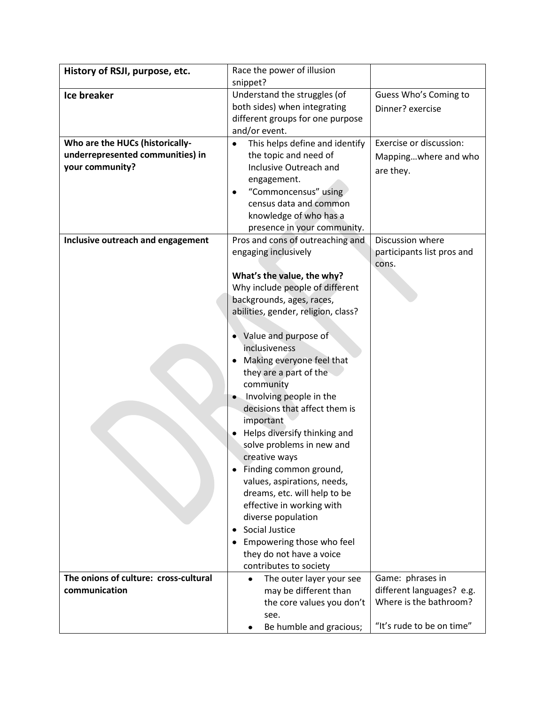| History of RSJI, purpose, etc.        | Race the power of illusion          |                            |
|---------------------------------------|-------------------------------------|----------------------------|
|                                       | snippet?                            |                            |
| <b>Ice breaker</b>                    | Understand the struggles (of        | Guess Who's Coming to      |
|                                       | both sides) when integrating        | Dinner? exercise           |
|                                       | different groups for one purpose    |                            |
|                                       | and/or event.                       |                            |
| Who are the HUCs (historically-       | This helps define and identify      | Exercise or discussion:    |
| underrepresented communities) in      | the topic and need of               | Mappingwhere and who       |
| your community?                       | Inclusive Outreach and              | are they.                  |
|                                       | engagement.                         |                            |
|                                       | "Commoncensus" using                |                            |
|                                       | census data and common              |                            |
|                                       | knowledge of who has a              |                            |
|                                       | presence in your community.         |                            |
| Inclusive outreach and engagement     | Pros and cons of outreaching and    | Discussion where           |
|                                       | engaging inclusively                | participants list pros and |
|                                       |                                     | cons.                      |
|                                       | What's the value, the why?          |                            |
|                                       | Why include people of different     |                            |
|                                       | backgrounds, ages, races,           |                            |
|                                       | abilities, gender, religion, class? |                            |
|                                       | Value and purpose of                |                            |
|                                       | inclusiveness                       |                            |
|                                       | Making everyone feel that           |                            |
|                                       | they are a part of the              |                            |
|                                       | community                           |                            |
|                                       | Involving people in the             |                            |
|                                       | decisions that affect them is       |                            |
|                                       | important                           |                            |
|                                       | Helps diversify thinking and        |                            |
|                                       | solve problems in new and           |                            |
|                                       | creative ways                       |                            |
|                                       | Finding common ground,              |                            |
|                                       | values, aspirations, needs,         |                            |
|                                       | dreams, etc. will help to be        |                            |
|                                       | effective in working with           |                            |
|                                       | diverse population                  |                            |
|                                       | Social Justice<br>٠                 |                            |
|                                       | Empowering those who feel           |                            |
|                                       | they do not have a voice            |                            |
|                                       | contributes to society              |                            |
| The onions of culture: cross-cultural | The outer layer your see<br>٠       | Game: phrases in           |
| communication                         | may be different than               | different languages? e.g.  |
|                                       | the core values you don't           | Where is the bathroom?     |
|                                       | see.                                |                            |
|                                       | Be humble and gracious;             | "It's rude to be on time"  |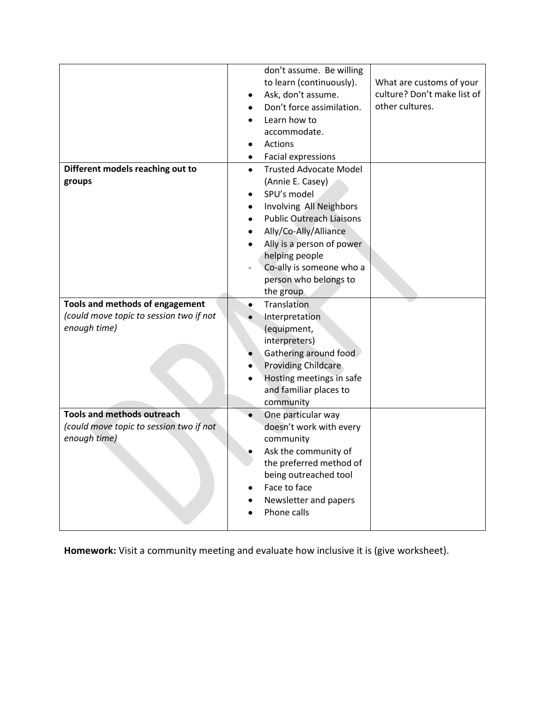|                                                                                              | don't assume. Be willing<br>to learn (continuously).<br>Ask, don't assume.<br>Don't force assimilation.<br>Learn how to<br>accommodate.<br><b>Actions</b><br>Facial expressions                                                                                                       | What are customs of your<br>culture? Don't make list of<br>other cultures. |
|----------------------------------------------------------------------------------------------|---------------------------------------------------------------------------------------------------------------------------------------------------------------------------------------------------------------------------------------------------------------------------------------|----------------------------------------------------------------------------|
| Different models reaching out to<br>groups                                                   | <b>Trusted Advocate Model</b><br>$\bullet$<br>(Annie E. Casey)<br>SPU's model<br>Involving All Neighbors<br><b>Public Outreach Liaisons</b><br>Ally/Co-Ally/Alliance<br>Ally is a person of power<br>helping people<br>Co-ally is someone who a<br>person who belongs to<br>the group |                                                                            |
| Tools and methods of engagement<br>(could move topic to session two if not<br>enough time)   | Translation<br>$\bullet$<br>Interpretation<br>(equipment,<br>interpreters)<br>Gathering around food<br><b>Providing Childcare</b><br>Hosting meetings in safe<br>and familiar places to<br>community                                                                                  |                                                                            |
| <b>Tools and methods outreach</b><br>(could move topic to session two if not<br>enough time) | One particular way<br>doesn't work with every<br>community<br>Ask the community of<br>the preferred method of<br>being outreached tool<br>Face to face<br>Newsletter and papers<br>Phone calls                                                                                        |                                                                            |

**Homework:** Visit a community meeting and evaluate how inclusive it is (give worksheet).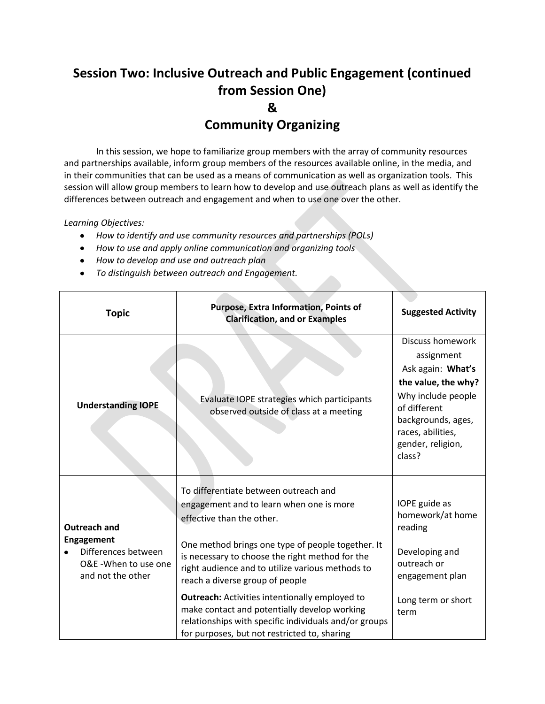## **Session Two: Inclusive Outreach and Public Engagement (continued from Session One) &**

#### **Community Organizing**

In this session, we hope to familiarize group members with the array of community resources and partnerships available, inform group members of the resources available online, in the media, and in their communities that can be used as a means of communication as well as organization tools. This session will allow group members to learn how to develop and use outreach plans as well as identify the differences between outreach and engagement and when to use one over the other.

*Learning Objectives:*

- *How to identify and use community resources and partnerships (POLs)*
- *How to use and apply online communication and organizing tools*
- *How to develop and use and outreach plan*
- *To distinguish between outreach and Engagement.*

| <b>Topic</b>                                                                                                 | Purpose, Extra Information, Points of<br><b>Clarification, and or Examples</b>                                                                                                                                                                                                                                                                                                                                                                                                                                                  | <b>Suggested Activity</b>                                                                                                                                                                         |
|--------------------------------------------------------------------------------------------------------------|---------------------------------------------------------------------------------------------------------------------------------------------------------------------------------------------------------------------------------------------------------------------------------------------------------------------------------------------------------------------------------------------------------------------------------------------------------------------------------------------------------------------------------|---------------------------------------------------------------------------------------------------------------------------------------------------------------------------------------------------|
| <b>Understanding IOPE</b>                                                                                    | Evaluate IOPE strategies which participants<br>observed outside of class at a meeting                                                                                                                                                                                                                                                                                                                                                                                                                                           | <b>Discuss homework</b><br>assignment<br>Ask again: What's<br>the value, the why?<br>Why include people<br>of different<br>backgrounds, ages,<br>races, abilities,<br>gender, religion,<br>class? |
| <b>Outreach and</b><br><b>Engagement</b><br>Differences between<br>O&E -When to use one<br>and not the other | To differentiate between outreach and<br>engagement and to learn when one is more<br>effective than the other.<br>One method brings one type of people together. It<br>is necessary to choose the right method for the<br>right audience and to utilize various methods to<br>reach a diverse group of people<br><b>Outreach:</b> Activities intentionally employed to<br>make contact and potentially develop working<br>relationships with specific individuals and/or groups<br>for purposes, but not restricted to, sharing | IOPE guide as<br>homework/at home<br>reading<br>Developing and<br>outreach or<br>engagement plan<br>Long term or short<br>term                                                                    |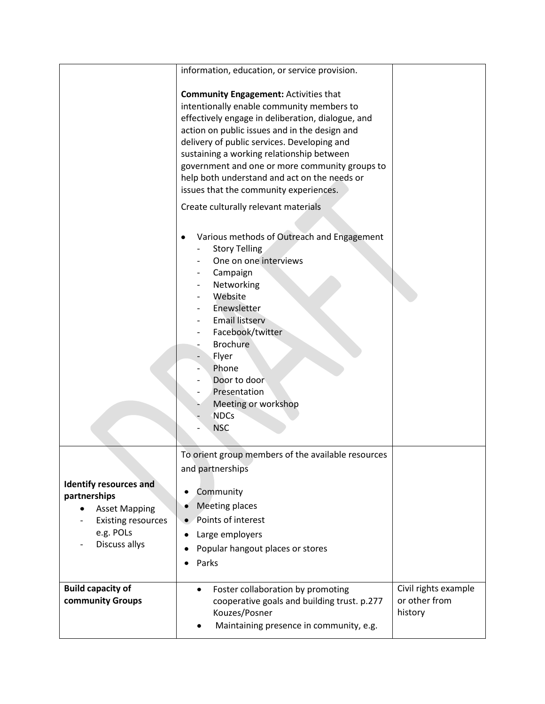|                                                                                                                                  | information, education, or service provision.<br><b>Community Engagement: Activities that</b><br>intentionally enable community members to<br>effectively engage in deliberation, dialogue, and<br>action on public issues and in the design and<br>delivery of public services. Developing and<br>sustaining a working relationship between<br>government and one or more community groups to<br>help both understand and act on the needs or<br>issues that the community experiences.<br>Create culturally relevant materials<br>Various methods of Outreach and Engagement<br><b>Story Telling</b><br>One on one interviews<br>Campaign<br>Networking<br>Website<br>Enewsletter<br><b>Email listserv</b><br>Facebook/twitter<br><b>Brochure</b><br>Flyer<br>Phone<br>Door to door<br>Presentation<br>Meeting or workshop<br><b>NDCs</b><br><b>NSC</b> |                                                  |
|----------------------------------------------------------------------------------------------------------------------------------|-----------------------------------------------------------------------------------------------------------------------------------------------------------------------------------------------------------------------------------------------------------------------------------------------------------------------------------------------------------------------------------------------------------------------------------------------------------------------------------------------------------------------------------------------------------------------------------------------------------------------------------------------------------------------------------------------------------------------------------------------------------------------------------------------------------------------------------------------------------|--------------------------------------------------|
| <b>Identify resources and</b><br>partnerships<br><b>Asset Mapping</b><br><b>Existing resources</b><br>e.g. POLs<br>Discuss allys | To orient group members of the available resources<br>and partnerships<br>Community<br>٠<br><b>Meeting places</b><br>Points of interest<br>Large employers<br>Popular hangout places or stores<br>Parks                                                                                                                                                                                                                                                                                                                                                                                                                                                                                                                                                                                                                                                   |                                                  |
| <b>Build capacity of</b><br>community Groups                                                                                     | Foster collaboration by promoting<br>$\bullet$<br>cooperative goals and building trust. p.277<br>Kouzes/Posner<br>Maintaining presence in community, e.g.                                                                                                                                                                                                                                                                                                                                                                                                                                                                                                                                                                                                                                                                                                 | Civil rights example<br>or other from<br>history |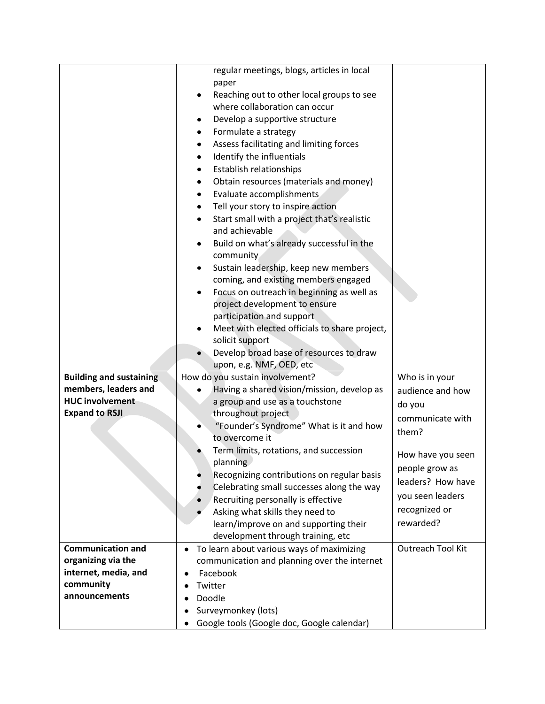|                                | regular meetings, blogs, articles in local                                              |                          |
|--------------------------------|-----------------------------------------------------------------------------------------|--------------------------|
|                                | paper                                                                                   |                          |
|                                | Reaching out to other local groups to see                                               |                          |
|                                | where collaboration can occur                                                           |                          |
|                                | Develop a supportive structure<br>٠                                                     |                          |
|                                | Formulate a strategy                                                                    |                          |
|                                | Assess facilitating and limiting forces                                                 |                          |
|                                | Identify the influentials<br>$\bullet$                                                  |                          |
|                                | Establish relationships<br>٠                                                            |                          |
|                                | Obtain resources (materials and money)<br>٠                                             |                          |
|                                | Evaluate accomplishments<br>٠                                                           |                          |
|                                | Tell your story to inspire action<br>٠                                                  |                          |
|                                | Start small with a project that's realistic                                             |                          |
|                                | and achievable                                                                          |                          |
|                                | Build on what's already successful in the                                               |                          |
|                                | community                                                                               |                          |
|                                | Sustain leadership, keep new members<br>٠                                               |                          |
|                                | coming, and existing members engaged                                                    |                          |
|                                | Focus on outreach in beginning as well as<br>٠                                          |                          |
|                                | project development to ensure                                                           |                          |
|                                | participation and support                                                               |                          |
|                                | Meet with elected officials to share project,                                           |                          |
|                                | solicit support                                                                         |                          |
|                                | Develop broad base of resources to draw                                                 |                          |
|                                | upon, e.g. NMF, OED, etc                                                                |                          |
| <b>Building and sustaining</b> | How do you sustain involvement?                                                         | Who is in your           |
| members, leaders and           | Having a shared vision/mission, develop as                                              | audience and how         |
| <b>HUC involvement</b>         | a group and use as a touchstone                                                         | do you                   |
| <b>Expand to RSJI</b>          | throughout project                                                                      | communicate with         |
|                                | "Founder's Syndrome" What is it and how                                                 | them?                    |
|                                | to overcome it                                                                          |                          |
|                                | Term limits, rotations, and succession                                                  | How have you seen        |
|                                | planning                                                                                | people grow as           |
|                                | Recognizing contributions on regular basis<br>Celebrating small successes along the way | leaders? How have        |
|                                | Recruiting personally is effective                                                      | you seen leaders         |
|                                | Asking what skills they need to                                                         | recognized or            |
|                                | learn/improve on and supporting their                                                   | rewarded?                |
|                                | development through training, etc                                                       |                          |
| <b>Communication and</b>       | To learn about various ways of maximizing<br>٠                                          | <b>Outreach Tool Kit</b> |
| organizing via the             | communication and planning over the internet                                            |                          |
| internet, media, and           | Facebook<br>٠                                                                           |                          |
| community                      | Twitter                                                                                 |                          |
| announcements                  | Doodle                                                                                  |                          |
|                                | Surveymonkey (lots)                                                                     |                          |
|                                | Google tools (Google doc, Google calendar)                                              |                          |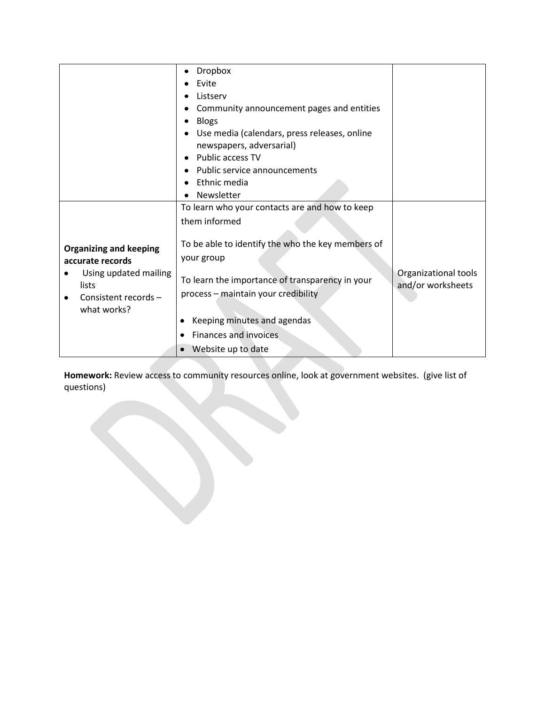|                                                                                                                            | Dropbox                                                                                                                                                                                                                                             |                                           |
|----------------------------------------------------------------------------------------------------------------------------|-----------------------------------------------------------------------------------------------------------------------------------------------------------------------------------------------------------------------------------------------------|-------------------------------------------|
|                                                                                                                            | Evite                                                                                                                                                                                                                                               |                                           |
|                                                                                                                            | Listserv                                                                                                                                                                                                                                            |                                           |
|                                                                                                                            | Community announcement pages and entities                                                                                                                                                                                                           |                                           |
|                                                                                                                            | <b>Blogs</b>                                                                                                                                                                                                                                        |                                           |
|                                                                                                                            | Use media (calendars, press releases, online                                                                                                                                                                                                        |                                           |
|                                                                                                                            | newspapers, adversarial)                                                                                                                                                                                                                            |                                           |
|                                                                                                                            | Public access TV                                                                                                                                                                                                                                    |                                           |
|                                                                                                                            | Public service announcements                                                                                                                                                                                                                        |                                           |
|                                                                                                                            | Ethnic media                                                                                                                                                                                                                                        |                                           |
|                                                                                                                            | Newsletter                                                                                                                                                                                                                                          |                                           |
|                                                                                                                            | To learn who your contacts are and how to keep                                                                                                                                                                                                      |                                           |
|                                                                                                                            | them informed                                                                                                                                                                                                                                       |                                           |
| <b>Organizing and keeping</b><br>accurate records<br>Using updated mailing<br>lists<br>Consistent records -<br>what works? | To be able to identify the who the key members of<br>your group<br>To learn the importance of transparency in your<br>process - maintain your credibility<br>Keeping minutes and agendas<br><b>Finances and invoices</b><br>٠<br>Website up to date | Organizational tools<br>and/or worksheets |

**Homework:** Review access to community resources online, look at government websites. (give list of questions)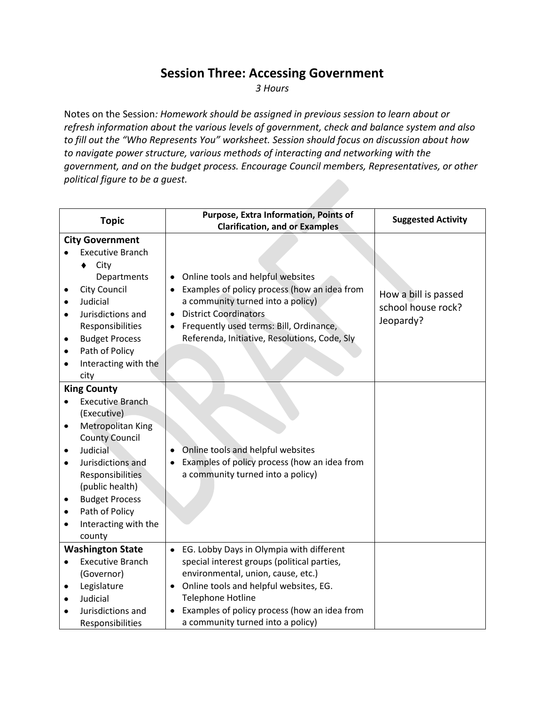#### **Session Three: Accessing Government**

*3 Hours*

Notes on the Session*: Homework should be assigned in previous session to learn about or refresh information about the various levels of government, check and balance system and also to fill out the "Who Represents You" worksheet. Session should focus on discussion about how to navigate power structure, various methods of interacting and networking with the government, and on the budget process. Encourage Council members, Representatives, or other political figure to be a guest.* 

|           | <b>Topic</b>            | Purpose, Extra Information, Points of<br><b>Clarification, and or Examples</b> | <b>Suggested Activity</b> |
|-----------|-------------------------|--------------------------------------------------------------------------------|---------------------------|
|           | <b>City Government</b>  |                                                                                |                           |
|           | <b>Executive Branch</b> |                                                                                |                           |
|           | City<br>٠               |                                                                                |                           |
|           | Departments             | Online tools and helpful websites                                              |                           |
|           | <b>City Council</b>     | Examples of policy process (how an idea from                                   |                           |
|           | Judicial                | a community turned into a policy)                                              | How a bill is passed      |
|           | Jurisdictions and       | <b>District Coordinators</b>                                                   | school house rock?        |
|           | Responsibilities        | Frequently used terms: Bill, Ordinance,                                        | Jeopardy?                 |
|           | <b>Budget Process</b>   | Referenda, Initiative, Resolutions, Code, Sly                                  |                           |
|           | Path of Policy          |                                                                                |                           |
| $\bullet$ | Interacting with the    |                                                                                |                           |
|           | city                    |                                                                                |                           |
|           | <b>King County</b>      |                                                                                |                           |
| $\bullet$ | <b>Executive Branch</b> |                                                                                |                           |
|           | (Executive)             |                                                                                |                           |
| ٠         | Metropolitan King       |                                                                                |                           |
|           | <b>County Council</b>   |                                                                                |                           |
|           | Judicial                | Online tools and helpful websites                                              |                           |
|           | Jurisdictions and       | Examples of policy process (how an idea from                                   |                           |
|           | Responsibilities        | a community turned into a policy)                                              |                           |
|           | (public health)         |                                                                                |                           |
|           | <b>Budget Process</b>   |                                                                                |                           |
| ٠         | Path of Policy          |                                                                                |                           |
|           | Interacting with the    |                                                                                |                           |
|           | county                  |                                                                                |                           |
|           | <b>Washington State</b> | EG. Lobby Days in Olympia with different                                       |                           |
|           | <b>Executive Branch</b> | special interest groups (political parties,                                    |                           |
|           | (Governor)              | environmental, union, cause, etc.)                                             |                           |
| ٠         | Legislature             | Online tools and helpful websites, EG.                                         |                           |
|           | Judicial                | Telephone Hotline                                                              |                           |
|           | Jurisdictions and       | Examples of policy process (how an idea from                                   |                           |
|           | Responsibilities        | a community turned into a policy)                                              |                           |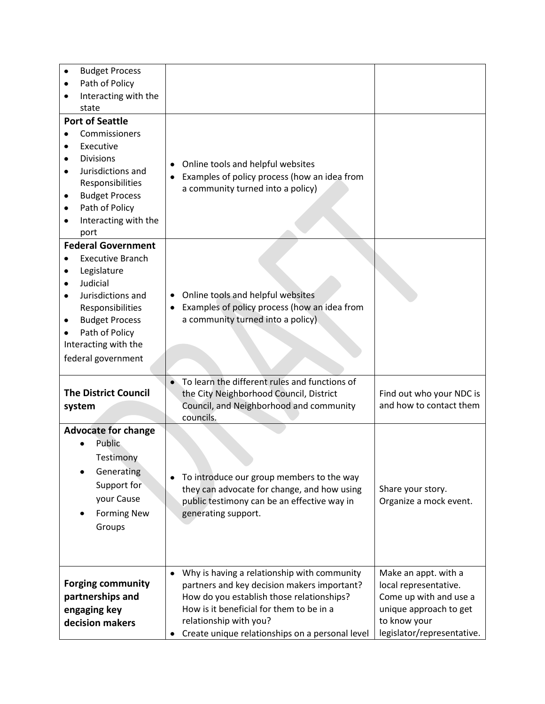| <b>Budget Process</b>                |                                                                                    |                                                     |
|--------------------------------------|------------------------------------------------------------------------------------|-----------------------------------------------------|
| Path of Policy<br>٠                  |                                                                                    |                                                     |
| Interacting with the<br>٠            |                                                                                    |                                                     |
| state                                |                                                                                    |                                                     |
| <b>Port of Seattle</b>               |                                                                                    |                                                     |
| Commissioners                        |                                                                                    |                                                     |
| Executive<br>٠                       |                                                                                    |                                                     |
| <b>Divisions</b><br>٠                | Online tools and helpful websites                                                  |                                                     |
| Jurisdictions and<br>٠               | Examples of policy process (how an idea from                                       |                                                     |
| Responsibilities                     | a community turned into a policy)                                                  |                                                     |
| <b>Budget Process</b><br>٠           |                                                                                    |                                                     |
| Path of Policy<br>٠                  |                                                                                    |                                                     |
| Interacting with the<br>٠            |                                                                                    |                                                     |
| port                                 |                                                                                    |                                                     |
| <b>Federal Government</b>            |                                                                                    |                                                     |
| <b>Executive Branch</b><br>$\bullet$ |                                                                                    |                                                     |
| Legislature<br>٠                     |                                                                                    |                                                     |
| Judicial<br>٠                        |                                                                                    |                                                     |
| Jurisdictions and<br>$\bullet$       | Online tools and helpful websites<br>٠                                             |                                                     |
| Responsibilities                     | Examples of policy process (how an idea from                                       |                                                     |
| <b>Budget Process</b><br>٠           | a community turned into a policy)                                                  |                                                     |
| Path of Policy                       |                                                                                    |                                                     |
| Interacting with the                 |                                                                                    |                                                     |
| federal government                   |                                                                                    |                                                     |
|                                      |                                                                                    |                                                     |
| <b>The District Council</b>          | To learn the different rules and functions of                                      |                                                     |
|                                      | the City Neighborhood Council, District<br>Council, and Neighborhood and community | Find out who your NDC is<br>and how to contact them |
| system                               | councils.                                                                          |                                                     |
| <b>Advocate for change</b>           |                                                                                    |                                                     |
| Public                               |                                                                                    |                                                     |
|                                      |                                                                                    |                                                     |
| Testimony                            |                                                                                    |                                                     |
| Generating                           | To introduce our group members to the way                                          |                                                     |
| Support for                          | they can advocate for change, and how using                                        | Share your story.                                   |
| your Cause                           | public testimony can be an effective way in                                        | Organize a mock event.                              |
| <b>Forming New</b>                   | generating support.                                                                |                                                     |
| Groups                               |                                                                                    |                                                     |
|                                      |                                                                                    |                                                     |
|                                      |                                                                                    |                                                     |
|                                      |                                                                                    |                                                     |
|                                      | Why is having a relationship with community<br>$\bullet$                           | Make an appt. with a                                |
| <b>Forging community</b>             | partners and key decision makers important?                                        | local representative.                               |
| partnerships and                     | How do you establish those relationships?                                          | Come up with and use a                              |
| engaging key                         | How is it beneficial for them to be in a                                           | unique approach to get                              |
| decision makers                      | relationship with you?                                                             | to know your<br>legislator/representative.          |
|                                      | Create unique relationships on a personal level                                    |                                                     |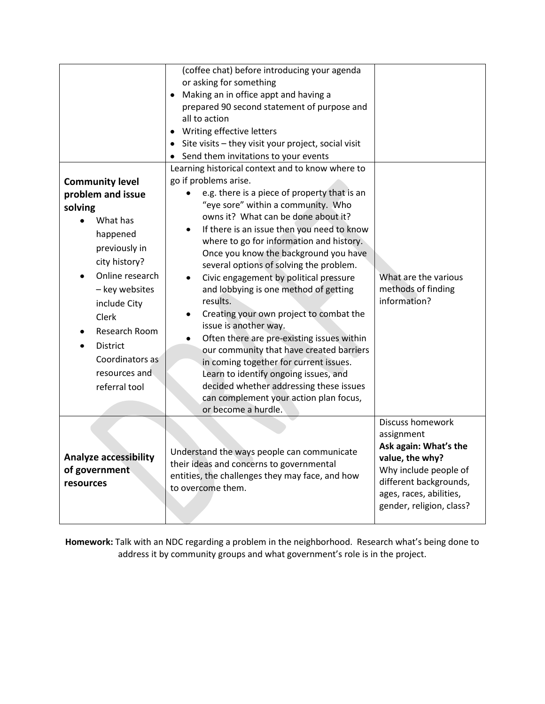| previously in<br>city history?<br>Online research<br>- key websites<br>include City<br>Clerk<br>Research Room<br><b>District</b><br>Coordinators as<br>resources and<br>referral tool<br><b>Analyze accessibility</b><br>of government<br>resources | where to go for information and history.<br>Once you know the background you have<br>several options of solving the problem.<br>Civic engagement by political pressure<br>$\bullet$<br>and lobbying is one method of getting<br>results.<br>Creating your own project to combat the<br>٠<br>issue is another way.<br>Often there are pre-existing issues within<br>our community that have created barriers<br>in coming together for current issues.<br>Learn to identify ongoing issues, and<br>decided whether addressing these issues<br>can complement your action plan focus,<br>or become a hurdle.<br>Understand the ways people can communicate<br>their ideas and concerns to governmental<br>entities, the challenges they may face, and how | What are the various<br>methods of finding<br>information?<br><b>Discuss homework</b><br>assignment<br>Ask again: What's the<br>value, the why?<br>Why include people of<br>different backgrounds, |
|-----------------------------------------------------------------------------------------------------------------------------------------------------------------------------------------------------------------------------------------------------|---------------------------------------------------------------------------------------------------------------------------------------------------------------------------------------------------------------------------------------------------------------------------------------------------------------------------------------------------------------------------------------------------------------------------------------------------------------------------------------------------------------------------------------------------------------------------------------------------------------------------------------------------------------------------------------------------------------------------------------------------------|----------------------------------------------------------------------------------------------------------------------------------------------------------------------------------------------------|
| <b>Community level</b><br>problem and issue<br>solving<br>What has<br>happened                                                                                                                                                                      | Learning historical context and to know where to<br>go if problems arise.<br>e.g. there is a piece of property that is an<br>"eye sore" within a community. Who<br>owns it? What can be done about it?<br>If there is an issue then you need to know                                                                                                                                                                                                                                                                                                                                                                                                                                                                                                    |                                                                                                                                                                                                    |
|                                                                                                                                                                                                                                                     | or asking for something<br>Making an in office appt and having a<br>prepared 90 second statement of purpose and<br>all to action<br>Writing effective letters<br>Site visits - they visit your project, social visit<br>Send them invitations to your events                                                                                                                                                                                                                                                                                                                                                                                                                                                                                            |                                                                                                                                                                                                    |
|                                                                                                                                                                                                                                                     | (coffee chat) before introducing your agenda                                                                                                                                                                                                                                                                                                                                                                                                                                                                                                                                                                                                                                                                                                            |                                                                                                                                                                                                    |

**Homework:** Talk with an NDC regarding a problem in the neighborhood. Research what's being done to address it by community groups and what government's role is in the project.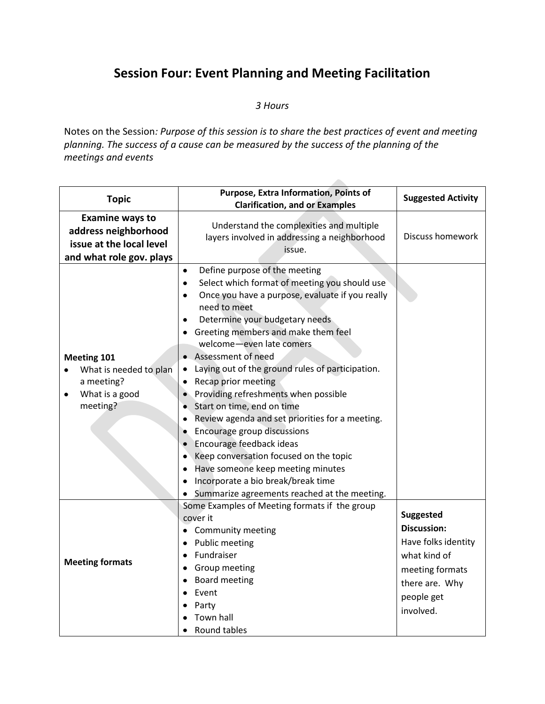### **Session Four: Event Planning and Meeting Facilitation**

*3 Hours*

Notes on the Session*: Purpose of this session is to share the best practices of event and meeting planning. The success of a cause can be measured by the success of the planning of the meetings and events*

| <b>Topic</b>                                                                                           | Purpose, Extra Information, Points of<br><b>Clarification, and or Examples</b>                                                                                                                                                                                                                                                                                                                                                                                                                                                                                                                                                                                                                                                                    | <b>Suggested Activity</b>                                                                                                                     |
|--------------------------------------------------------------------------------------------------------|---------------------------------------------------------------------------------------------------------------------------------------------------------------------------------------------------------------------------------------------------------------------------------------------------------------------------------------------------------------------------------------------------------------------------------------------------------------------------------------------------------------------------------------------------------------------------------------------------------------------------------------------------------------------------------------------------------------------------------------------------|-----------------------------------------------------------------------------------------------------------------------------------------------|
| <b>Examine ways to</b><br>address neighborhood<br>issue at the local level<br>and what role gov. plays | Understand the complexities and multiple<br>layers involved in addressing a neighborhood<br>issue.                                                                                                                                                                                                                                                                                                                                                                                                                                                                                                                                                                                                                                                | <b>Discuss homework</b>                                                                                                                       |
| Meeting 101<br>What is needed to plan<br>a meeting?<br>What is a good<br>$\bullet$<br>meeting?         | Define purpose of the meeting<br>$\bullet$<br>Select which format of meeting you should use<br>$\bullet$<br>Once you have a purpose, evaluate if you really<br>٠<br>need to meet<br>Determine your budgetary needs<br>Greeting members and make them feel<br>welcome-even late comers<br>• Assessment of need<br>Laying out of the ground rules of participation.<br>Recap prior meeting<br>Providing refreshments when possible<br>Start on time, end on time<br>Review agenda and set priorities for a meeting.<br>Encourage group discussions<br>Encourage feedback ideas<br>Keep conversation focused on the topic<br>Have someone keep meeting minutes<br>Incorporate a bio break/break time<br>Summarize agreements reached at the meeting. |                                                                                                                                               |
| <b>Meeting formats</b>                                                                                 | Some Examples of Meeting formats if the group<br>cover it<br>• Community meeting<br>• Public meeting<br>Fundraiser<br>$\bullet$<br><b>Group meeting</b><br>Board meeting<br>٠<br>Event<br>Party<br>Town hall<br>Round tables                                                                                                                                                                                                                                                                                                                                                                                                                                                                                                                      | <b>Suggested</b><br><b>Discussion:</b><br>Have folks identity<br>what kind of<br>meeting formats<br>there are. Why<br>people get<br>involved. |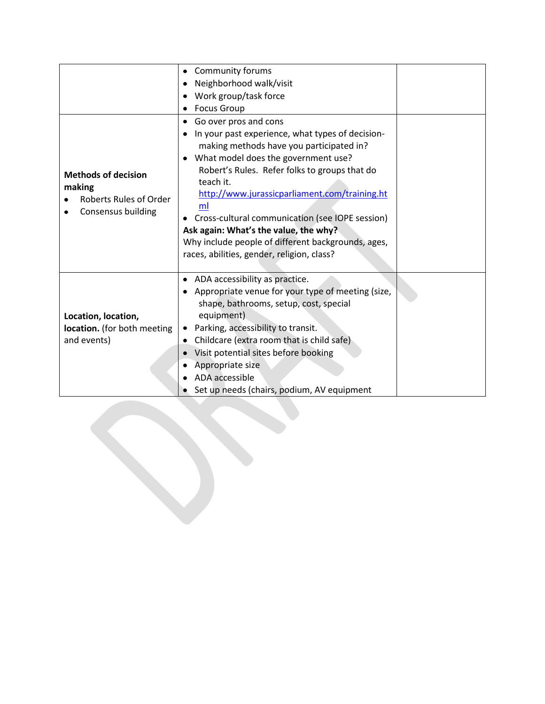|                                                                                      | <b>Community forums</b><br>$\bullet$<br>Neighborhood walk/visit<br>Work group/task force<br><b>Focus Group</b>                                                                                                                                                                                                                                                                                                                                                                      |  |
|--------------------------------------------------------------------------------------|-------------------------------------------------------------------------------------------------------------------------------------------------------------------------------------------------------------------------------------------------------------------------------------------------------------------------------------------------------------------------------------------------------------------------------------------------------------------------------------|--|
| <b>Methods of decision</b><br>making<br>Roberts Rules of Order<br>Consensus building | Go over pros and cons<br>In your past experience, what types of decision-<br>making methods have you participated in?<br>What model does the government use?<br>Robert's Rules. Refer folks to groups that do<br>teach it.<br>http://www.jurassicparliament.com/training.ht<br>ml<br>• Cross-cultural communication (see IOPE session)<br>Ask again: What's the value, the why?<br>Why include people of different backgrounds, ages,<br>races, abilities, gender, religion, class? |  |
| Location, location,<br>location. (for both meeting<br>and events)                    | • ADA accessibility as practice.<br>Appropriate venue for your type of meeting (size,<br>shape, bathrooms, setup, cost, special<br>equipment)<br>Parking, accessibility to transit.<br>٠<br>Childcare (extra room that is child safe)<br>$\bullet$<br>Visit potential sites before booking<br>Appropriate size<br>ADA accessible<br>Set up needs (chairs, podium, AV equipment                                                                                                      |  |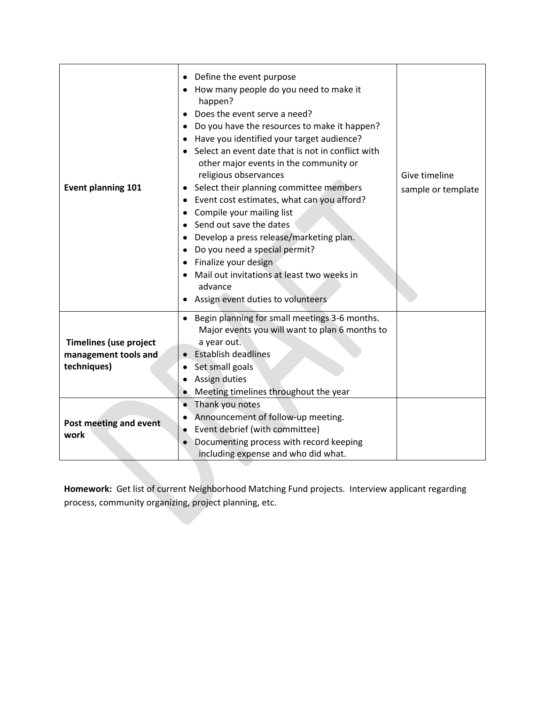| <b>Event planning 101</b>                                            | • Define the event purpose<br>How many people do you need to make it<br>happen?<br>Does the event serve a need?<br>Do you have the resources to make it happen?<br>• Have you identified your target audience?<br>Select an event date that is not in conflict with<br>other major events in the community or<br>religious observances<br>Select their planning committee members<br>Event cost estimates, what can you afford?<br>• Compile your mailing list<br>Send out save the dates<br>Develop a press release/marketing plan.<br>٠<br>Do you need a special permit?<br>Finalize your design<br>Mail out invitations at least two weeks in<br>advance<br>Assign event duties to volunteers | Give timeline<br>sample or template |
|----------------------------------------------------------------------|--------------------------------------------------------------------------------------------------------------------------------------------------------------------------------------------------------------------------------------------------------------------------------------------------------------------------------------------------------------------------------------------------------------------------------------------------------------------------------------------------------------------------------------------------------------------------------------------------------------------------------------------------------------------------------------------------|-------------------------------------|
| <b>Timelines (use project</b><br>management tools and<br>techniques) | • Begin planning for small meetings 3-6 months.<br>Major events you will want to plan 6 months to<br>a year out.<br><b>Establish deadlines</b><br>Set small goals<br>Assign duties<br>Meeting timelines throughout the year                                                                                                                                                                                                                                                                                                                                                                                                                                                                      |                                     |
| Post meeting and event<br>work                                       | Thank you notes<br>$\bullet$<br>Announcement of follow-up meeting.<br>Event debrief (with committee)<br>Documenting process with record keeping<br>including expense and who did what.                                                                                                                                                                                                                                                                                                                                                                                                                                                                                                           |                                     |

**Homework:** Get list of current Neighborhood Matching Fund projects. Interview applicant regarding process, community organizing, project planning, etc.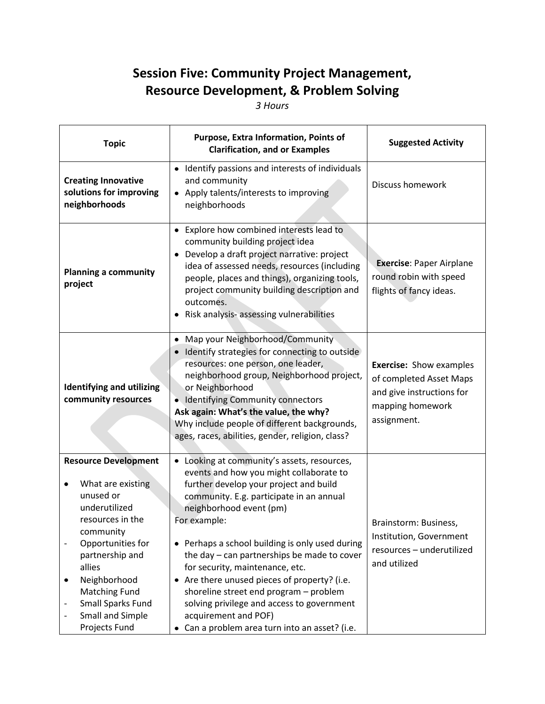## **Session Five: Community Project Management, Resource Development, & Problem Solving**

*3 Hours*

| <b>Topic</b>                                                                                                                                                                                                                                                                                  | Purpose, Extra Information, Points of<br><b>Clarification, and or Examples</b>                                                                                                                                                                                                                                                                                                                                                                                                                                                                                                          | <b>Suggested Activity</b>                                                                                                 |
|-----------------------------------------------------------------------------------------------------------------------------------------------------------------------------------------------------------------------------------------------------------------------------------------------|-----------------------------------------------------------------------------------------------------------------------------------------------------------------------------------------------------------------------------------------------------------------------------------------------------------------------------------------------------------------------------------------------------------------------------------------------------------------------------------------------------------------------------------------------------------------------------------------|---------------------------------------------------------------------------------------------------------------------------|
| <b>Creating Innovative</b><br>solutions for improving<br>neighborhoods                                                                                                                                                                                                                        | • Identify passions and interests of individuals<br>and community<br>Apply talents/interests to improving<br>neighborhoods                                                                                                                                                                                                                                                                                                                                                                                                                                                              | Discuss homework                                                                                                          |
| <b>Planning a community</b><br>project                                                                                                                                                                                                                                                        | Explore how combined interests lead to<br>community building project idea<br>Develop a draft project narrative: project<br>$\bullet$<br>idea of assessed needs, resources (including<br>people, places and things), organizing tools,<br>project community building description and<br>outcomes.<br>Risk analysis- assessing vulnerabilities                                                                                                                                                                                                                                            | <b>Exercise: Paper Airplane</b><br>round robin with speed<br>flights of fancy ideas.                                      |
| <b>Identifying and utilizing</b><br>community resources                                                                                                                                                                                                                                       | Map your Neighborhood/Community<br>٠<br>Identify strategies for connecting to outside<br>resources: one person, one leader,<br>neighborhood group, Neighborhood project,<br>or Neighborhood<br>Identifying Community connectors<br>۰<br>Ask again: What's the value, the why?<br>Why include people of different backgrounds,<br>ages, races, abilities, gender, religion, class?                                                                                                                                                                                                       | <b>Exercise: Show examples</b><br>of completed Asset Maps<br>and give instructions for<br>mapping homework<br>assignment. |
| <b>Resource Development</b><br>What are existing<br>unused or<br>underutilized<br>resources in the<br>community<br>Opportunities for<br>$\qquad \qquad -$<br>partnership and<br>allies<br>Neighborhood<br>٠<br><b>Matching Fund</b><br>Small Sparks Fund<br>Small and Simple<br>Projects Fund | • Looking at community's assets, resources,<br>events and how you might collaborate to<br>further develop your project and build<br>community. E.g. participate in an annual<br>neighborhood event (pm)<br>For example:<br>• Perhaps a school building is only used during<br>the day - can partnerships be made to cover<br>for security, maintenance, etc.<br>Are there unused pieces of property? (i.e.<br>$\bullet$<br>shoreline street end program - problem<br>solving privilege and access to government<br>acquirement and POF)<br>Can a problem area turn into an asset? (i.e. | Brainstorm: Business,<br>Institution, Government<br>resources - underutilized<br>and utilized                             |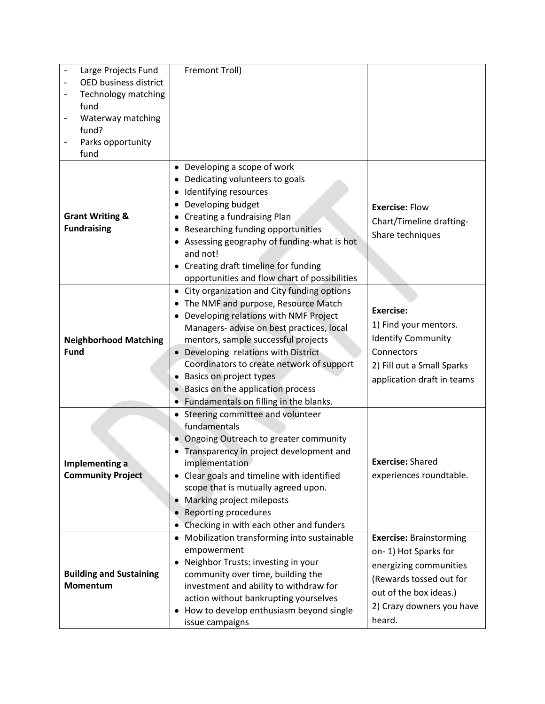| Large Projects Fund                           | Fremont Troll)                                  |                                |
|-----------------------------------------------|-------------------------------------------------|--------------------------------|
| <b>OED business district</b>                  |                                                 |                                |
| Technology matching<br>$\overline{a}$         |                                                 |                                |
| fund                                          |                                                 |                                |
| Waterway matching<br>$\overline{\phantom{0}}$ |                                                 |                                |
| fund?                                         |                                                 |                                |
| Parks opportunity                             |                                                 |                                |
| fund                                          |                                                 |                                |
|                                               | • Developing a scope of work                    |                                |
|                                               | Dedicating volunteers to goals                  |                                |
|                                               | Identifying resources<br>٠                      |                                |
|                                               | Developing budget                               | <b>Exercise: Flow</b>          |
| <b>Grant Writing &amp;</b>                    | Creating a fundraising Plan                     |                                |
| <b>Fundraising</b>                            | Researching funding opportunities<br>٠          | Chart/Timeline drafting-       |
|                                               | Assessing geography of funding-what is hot      | Share techniques               |
|                                               | and not!                                        |                                |
|                                               | • Creating draft timeline for funding           |                                |
|                                               | opportunities and flow chart of possibilities   |                                |
|                                               | • City organization and City funding options    |                                |
|                                               | The NMF and purpose, Resource Match             |                                |
|                                               | Developing relations with NMF Project           | <b>Exercise:</b>               |
|                                               | Managers- advise on best practices, local       | 1) Find your mentors.          |
| <b>Neighborhood Matching</b>                  | mentors, sample successful projects             | <b>Identify Community</b>      |
| <b>Fund</b>                                   | Developing relations with District<br>$\bullet$ | Connectors                     |
|                                               | Coordinators to create network of support       | 2) Fill out a Small Sparks     |
|                                               | Basics on project types                         |                                |
|                                               | Basics on the application process               | application draft in teams     |
|                                               | Fundamentals on filling in the blanks.          |                                |
|                                               | • Steering committee and volunteer              |                                |
|                                               | fundamentals                                    |                                |
|                                               | Ongoing Outreach to greater community           |                                |
|                                               | Transparency in project development and         |                                |
| Implementing a                                | implementation                                  | <b>Exercise: Shared</b>        |
| <b>Community Project</b>                      | • Clear goals and timeline with identified      | experiences roundtable.        |
|                                               | scope that is mutually agreed upon.             |                                |
|                                               | Marking project mileposts                       |                                |
|                                               | Reporting procedures                            |                                |
|                                               | Checking in with each other and funders         |                                |
|                                               | • Mobilization transforming into sustainable    | <b>Exercise: Brainstorming</b> |
|                                               | empowerment                                     |                                |
|                                               | • Neighbor Trusts: investing in your            | on-1) Hot Sparks for           |
| <b>Building and Sustaining</b>                | community over time, building the               | energizing communities         |
| Momentum                                      | investment and ability to withdraw for          | (Rewards tossed out for        |
|                                               | action without bankrupting yourselves           | out of the box ideas.)         |
|                                               | How to develop enthusiasm beyond single<br>٠    | 2) Crazy downers you have      |
|                                               |                                                 |                                |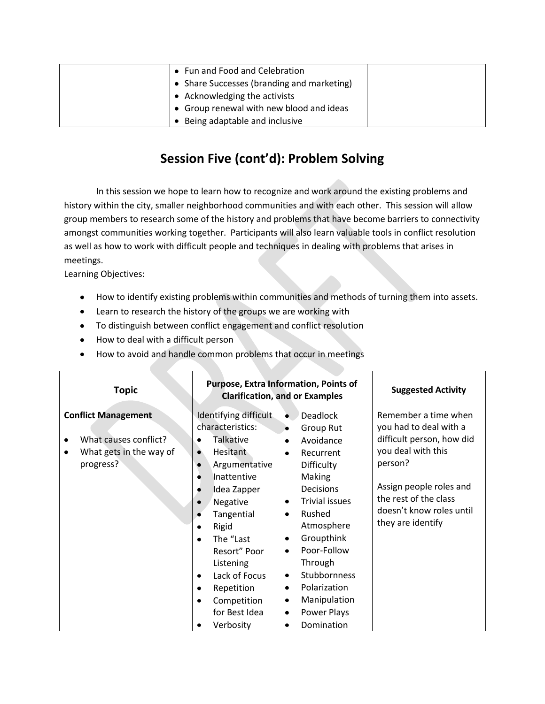| • Fun and Food and Celebration             |  |
|--------------------------------------------|--|
| • Share Successes (branding and marketing) |  |
| • Acknowledging the activists              |  |
| • Group renewal with new blood and ideas   |  |
| • Being adaptable and inclusive            |  |

#### **Session Five (cont'd): Problem Solving**

In this session we hope to learn how to recognize and work around the existing problems and history within the city, smaller neighborhood communities and with each other. This session will allow group members to research some of the history and problems that have become barriers to connectivity amongst communities working together. Participants will also learn valuable tools in conflict resolution as well as how to work with difficult people and techniques in dealing with problems that arises in meetings.

Learning Objectives:

- How to identify existing problems within communities and methods of turning them into assets.
- Learn to research the history of the groups we are working with
- To distinguish between conflict engagement and conflict resolution
- How to deal with a difficult person
- How to avoid and handle common problems that occur in meetings

| <b>Topic</b>                                                                                                  | <b>Purpose, Extra Information, Points of</b><br><b>Clarification, and or Examples</b>                                                                                                                                                                                                                                                                                                                                                                                                                                                                                                                                                                                                                                                      | <b>Suggested Activity</b>                                                                                                                                                                                         |
|---------------------------------------------------------------------------------------------------------------|--------------------------------------------------------------------------------------------------------------------------------------------------------------------------------------------------------------------------------------------------------------------------------------------------------------------------------------------------------------------------------------------------------------------------------------------------------------------------------------------------------------------------------------------------------------------------------------------------------------------------------------------------------------------------------------------------------------------------------------------|-------------------------------------------------------------------------------------------------------------------------------------------------------------------------------------------------------------------|
| <b>Conflict Management</b><br>What causes conflict?<br>٠<br>What gets in the way of<br>$\bullet$<br>progress? | Identifying difficult<br><b>Deadlock</b><br>$\bullet$<br>characteristics:<br>Group Rut<br>Talkative<br>Avoidance<br>Hesitant<br>Recurrent<br>$\bullet$<br><b>Difficulty</b><br>Argumentative<br>$\bullet$<br>Making<br>Inattentive<br>٠<br><b>Decisions</b><br>Idea Zapper<br><b>Trivial issues</b><br>Negative<br>$\bullet$<br>Rushed<br>Tangential<br>$\bullet$<br>Atmosphere<br>Rigid<br>Groupthink<br>The "Last<br>٠<br>$\bullet$<br>Poor-Follow<br>Resort" Poor<br>$\bullet$<br>Through<br>Listening<br>Stubbornness<br>Lack of Focus<br>$\bullet$<br>$\bullet$<br>Polarization<br>Repetition<br>$\bullet$<br>Manipulation<br>Competition<br>٠<br>٠<br>for Best Idea<br>Power Plays<br>$\bullet$<br>Domination<br>Verbosity<br>٠<br>٠ | Remember a time when<br>you had to deal with a<br>difficult person, how did<br>you deal with this<br>person?<br>Assign people roles and<br>the rest of the class<br>doesn't know roles until<br>they are identify |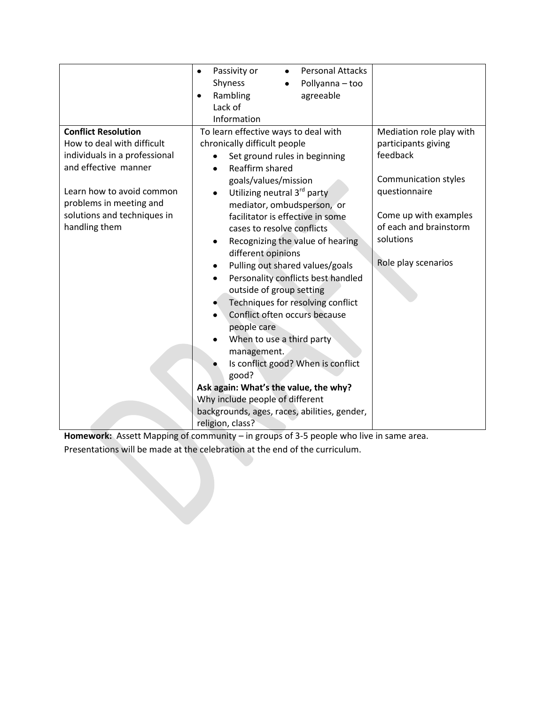|                               | <b>Personal Attacks</b><br>Passivity or<br>$\bullet$ |                          |
|-------------------------------|------------------------------------------------------|--------------------------|
|                               | Shyness<br>Pollyanna - too                           |                          |
|                               | Rambling<br>agreeable<br>$\bullet$                   |                          |
|                               | Lack of                                              |                          |
|                               | Information                                          |                          |
| <b>Conflict Resolution</b>    | To learn effective ways to deal with                 | Mediation role play with |
| How to deal with difficult    | chronically difficult people                         | participants giving      |
| individuals in a professional | Set ground rules in beginning                        | feedback                 |
| and effective manner          | Reaffirm shared                                      |                          |
|                               | goals/values/mission                                 | Communication styles     |
| Learn how to avoid common     | Utilizing neutral 3 <sup>rd</sup> party              | questionnaire            |
| problems in meeting and       | mediator, ombudsperson, or                           |                          |
| solutions and techniques in   | facilitator is effective in some                     | Come up with examples    |
| handling them                 | cases to resolve conflicts                           | of each and brainstorm   |
|                               | Recognizing the value of hearing                     | solutions                |
|                               | different opinions                                   |                          |
|                               | Pulling out shared values/goals                      | Role play scenarios      |
|                               | Personality conflicts best handled<br>٠              |                          |
|                               | outside of group setting                             |                          |
|                               | Techniques for resolving conflict                    |                          |
|                               | Conflict often occurs because                        |                          |
|                               | people care                                          |                          |
|                               | When to use a third party                            |                          |
|                               | management.                                          |                          |
|                               | Is conflict good? When is conflict                   |                          |
|                               | good?                                                |                          |
|                               | Ask again: What's the value, the why?                |                          |
|                               | Why include people of different                      |                          |
|                               | backgrounds, ages, races, abilities, gender,         |                          |
|                               | religion, class?                                     |                          |

**Homework:** Assett Mapping of community – in groups of 3-5 people who live in same area.

Presentations will be made at the celebration at the end of the curriculum.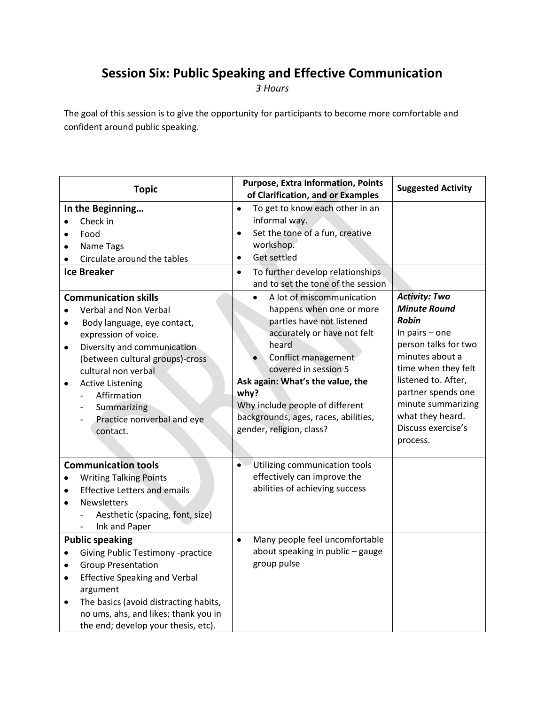### **Session Six: Public Speaking and Effective Communication**

*3 Hours*

The goal of this session is to give the opportunity for participants to become more comfortable and confident around public speaking.

| <b>Topic</b>                                                                                                                                                                                                                                                                                                         | <b>Purpose, Extra Information, Points</b><br>of Clarification, and or Examples                                                                                                                                                                                                                                               | <b>Suggested Activity</b>                                                                                                                                                                                                                                                  |
|----------------------------------------------------------------------------------------------------------------------------------------------------------------------------------------------------------------------------------------------------------------------------------------------------------------------|------------------------------------------------------------------------------------------------------------------------------------------------------------------------------------------------------------------------------------------------------------------------------------------------------------------------------|----------------------------------------------------------------------------------------------------------------------------------------------------------------------------------------------------------------------------------------------------------------------------|
| In the Beginning<br>Check in<br>Food<br>Name Tags<br>Circulate around the tables                                                                                                                                                                                                                                     | To get to know each other in an<br>$\bullet$<br>informal way.<br>Set the tone of a fun, creative<br>$\bullet$<br>workshop.<br>Get settled<br>$\bullet$                                                                                                                                                                       |                                                                                                                                                                                                                                                                            |
| <b>Ice Breaker</b>                                                                                                                                                                                                                                                                                                   | To further develop relationships<br>$\bullet$<br>and to set the tone of the session                                                                                                                                                                                                                                          |                                                                                                                                                                                                                                                                            |
| <b>Communication skills</b><br>Verbal and Non Verbal<br>Body language, eye contact,<br>expression of voice.<br>Diversity and communication<br>$\bullet$<br>(between cultural groups)-cross<br>cultural non verbal<br><b>Active Listening</b><br>Affirmation<br>Summarizing<br>Practice nonverbal and eye<br>contact. | A lot of miscommunication<br>happens when one or more<br>parties have not listened<br>accurately or have not felt<br>heard<br>Conflict management<br>covered in session 5<br>Ask again: What's the value, the<br>why?<br>Why include people of different<br>backgrounds, ages, races, abilities,<br>gender, religion, class? | <b>Activity: Two</b><br><b>Minute Round</b><br><b>Robin</b><br>In pairs $-$ one<br>person talks for two<br>minutes about a<br>time when they felt<br>listened to. After,<br>partner spends one<br>minute summarizing<br>what they heard.<br>Discuss exercise's<br>process. |
| <b>Communication tools</b><br><b>Writing Talking Points</b><br><b>Effective Letters and emails</b><br>$\bullet$<br><b>Newsletters</b><br>$\bullet$<br>Aesthetic (spacing, font, size)<br>Ink and Paper<br>$\overline{\phantom{0}}$                                                                                   | Utilizing communication tools<br>$\bullet$<br>effectively can improve the<br>abilities of achieving success                                                                                                                                                                                                                  |                                                                                                                                                                                                                                                                            |
| <b>Public speaking</b><br><b>Giving Public Testimony -practice</b><br>٠<br><b>Group Presentation</b><br>$\bullet$<br><b>Effective Speaking and Verbal</b><br>$\bullet$<br>argument<br>The basics (avoid distracting habits,<br>٠<br>no ums, ahs, and likes; thank you in<br>the end; develop your thesis, etc).      | Many people feel uncomfortable<br>$\bullet$<br>about speaking in public - gauge<br>group pulse                                                                                                                                                                                                                               |                                                                                                                                                                                                                                                                            |